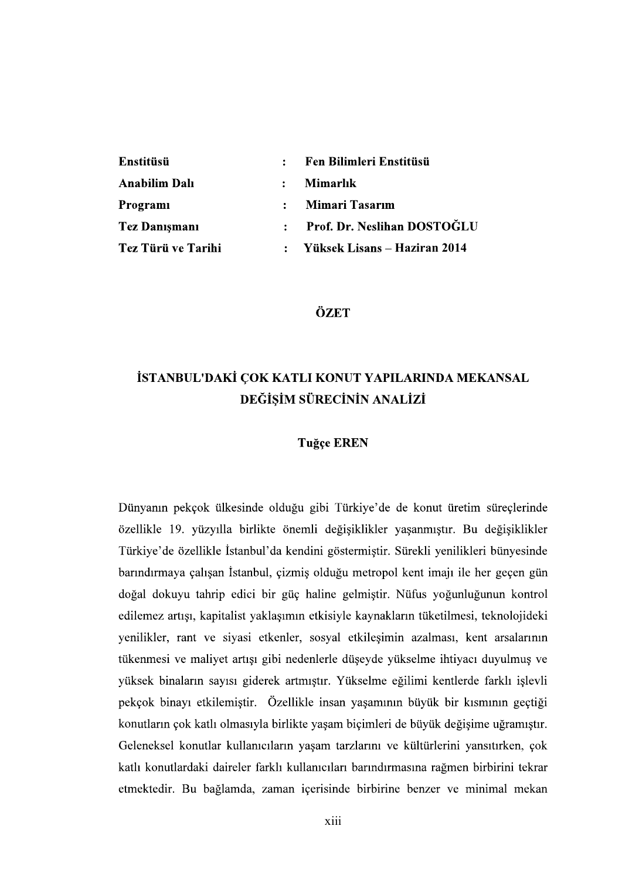| Enstitüsü            | 2 <sup>2</sup> | Fen Bilimleri Enstitüsü      |
|----------------------|----------------|------------------------------|
| <b>Anabilim Dalı</b> | $\mathbf{r}$   | <b>Mimarlık</b>              |
| Programi             | $\ddot{\cdot}$ | Mimari Tasarım               |
| <b>Tez Danişmanı</b> | $\mathbf{r}$   | Prof. Dr. Neslihan DOSTOĞLU  |
| Tez Türü ve Tarihi   |                | Yüksek Lisans – Haziran 2014 |

ÖZET

# İSTANBUL'DAKİ ÇOK KATLI KONUT YAPILARINDA MEKANSAL DEĞİSİM SÜRECİNİN ANALİZİ

## **Tuğçe EREN**

Dünyanın pekçok ülkesinde olduğu gibi Türkiye'de de konut üretim süreçlerinde özellikle 19. yüzyılla birlikte önemli değişiklikler yaşanmıştır. Bu değişiklikler Türkiye'de özellikle İstanbul'da kendini göstermiştir. Sürekli yenilikleri bünyesinde barındırmaya çalışan İstanbul, çizmiş olduğu metropol kent imajı ile her geçen gün doğal dokuyu tahrip edici bir güç haline gelmiştir. Nüfus yoğunluğunun kontrol edilemez artışı, kapitalist yaklaşımın etkisiyle kaynakların tüketilmesi, teknolojideki yenilikler, rant ve siyasi etkenler, sosyal etkilesimin azalması, kent arsalarının tükenmesi ve maliyet artışı gibi nedenlerle düşeyde yükselme ihtiyacı duyulmuş ve yüksek binaların sayısı giderek artmıştır. Yükselme eğilimi kentlerde farklı işlevli pekçok binayı etkilemiştir. Özellikle insan yaşamının büyük bir kısmının geçtiği konutların çok katlı olmasıyla birlikte yaşam biçimleri de büyük değişime uğramıştır. Geleneksel konutlar kullanıcıların yaşam tarzlarını ve kültürlerini yansıtırken, çok katlı konutlardaki daireler farklı kullanıcıları barındırmasına rağmen birbirini tekrar etmektedir. Bu bağlamda, zaman içerisinde birbirine benzer ve minimal mekan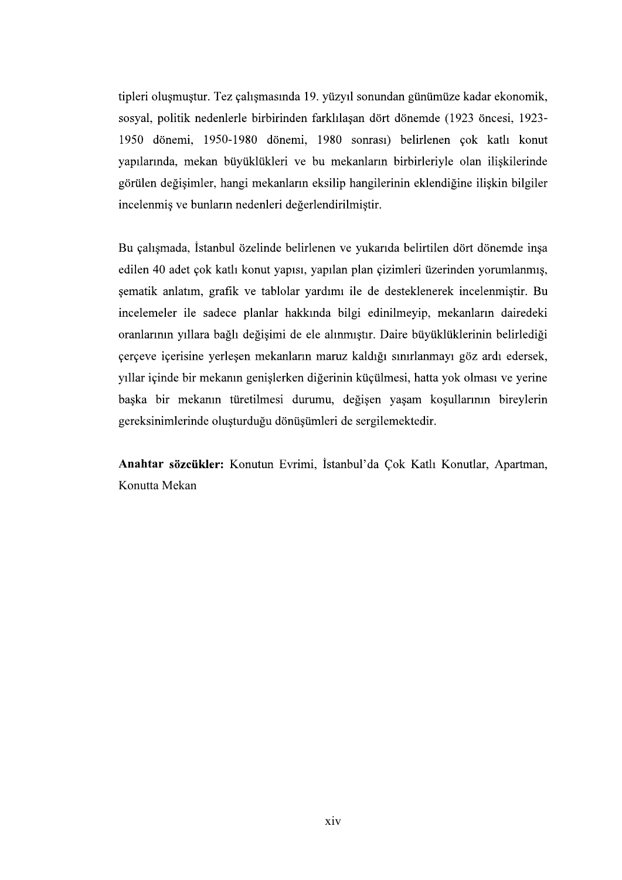tipleri oluşmuştur. Tez çalışmasında 19. yüzyıl sonundan günümüze kadar ekonomik, sosyal, politik nedenlerle birbirinden farklılaşan dört dönemde (1923 öncesi, 1923-1950 dönemi, 1950-1980 dönemi, 1980 sonrası) belirlenen çok katlı konut yapılarında, mekan büyüklükleri ve bu mekanların birbirleriyle olan iliskilerinde görülen değişimler, hangi mekanların eksilip hangilerinin eklendiğine ilişkin bilgiler incelenmiş ve bunların nedenleri değerlendirilmiştir.

Bu çalışmada, İstanbul özelinde belirlenen ve yukarıda belirtilen dört dönemde inşa edilen 40 adet çok katlı konut yapısı, yapılan plan çizimleri üzerinden yorumlanmış, şematik anlatım, grafik ve tablolar yardımı ile de desteklenerek incelenmiştir. Bu incelemeler ile sadece planlar hakkında bilgi edinilmeyip, mekanların dairedeki oranlarının yıllara bağlı değişimi de ele alınmıştır. Daire büyüklüklerinin belirlediği çerçeve içerisine yerleşen mekanların maruz kaldığı sınırlanmayı göz ardı edersek, yıllar içinde bir mekanın genişlerken diğerinin küçülmesi, hatta yok olması ve yerine başka bir mekanın türetilmesi durumu, değişen yaşam koşullarının bireylerin gereksinimlerinde oluşturduğu dönüşümleri de sergilemektedir.

Anahtar sözcükler: Konutun Evrimi, İstanbul'da Çok Katlı Konutlar, Apartman, Konutta Mekan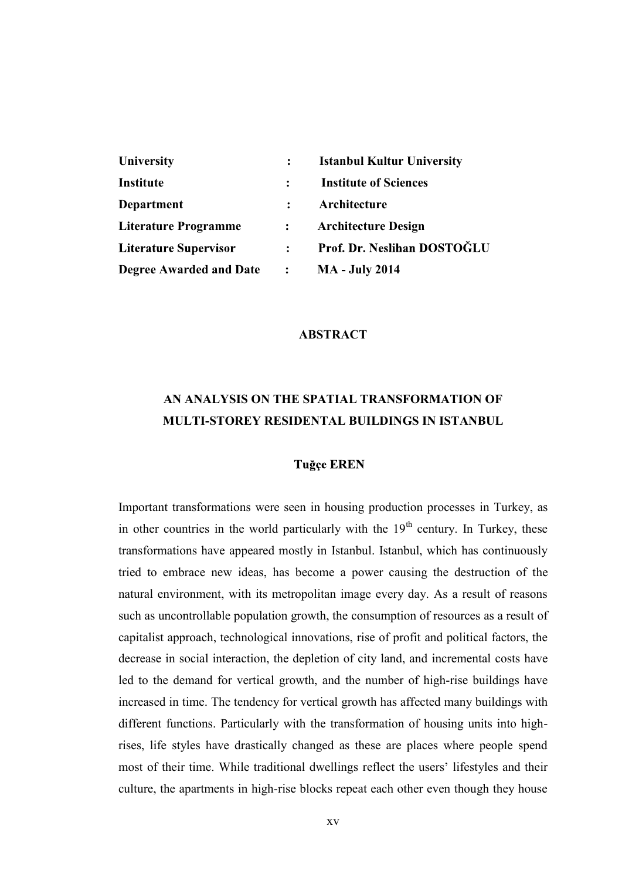| University                     |                | <b>Istanbul Kultur University</b> |
|--------------------------------|----------------|-----------------------------------|
| Institute                      |                | <b>Institute of Sciences</b>      |
| Department                     |                | Architecture                      |
| <b>Literature Programme</b>    | $\mathbf{L}$   | <b>Architecture Design</b>        |
| <b>Literature Supervisor</b>   | $\mathbf{L}$   | Prof. Dr. Neslihan DOSTOĞLU       |
| <b>Degree Awarded and Date</b> | $\ddot{\cdot}$ | <b>MA</b> - July 2014             |

#### ABSTRACT

## AN ANALYSIS ON THE SPATIAL TRANSFORMATION OF MULTI-STOREY RESIDENTAL BUILDINGS IN ISTANBUL

## **Tuğçe EREN**

Important transformations were seen in housing production processes in Turkey, as in other countries in the world particularly with the  $19<sup>th</sup>$  century. In Turkey, these transformations have appeared mostly in Istanbul. Istanbul, which has continuously tried to embrace new ideas, has become a power causing the destruction of the natural environment, with its metropolitan image every day. As a result of reasons such as uncontrollable population growth, the consumption of resources as a result of capitalist approach, technological innovations, rise of profit and political factors, the decrease in social interaction, the depletion of city land, and incremental costs have led to the demand for vertical growth, and the number of high-rise buildings have increased in time. The tendency for vertical growth has affected many buildings with different functions. Particularly with the transformation of housing units into highrises, life styles have drastically changed as these are places where people spend most of their time. While traditional dwellings reflect the users' lifestyles and their culture, the apartments in high-rise blocks repeat each other even though they house